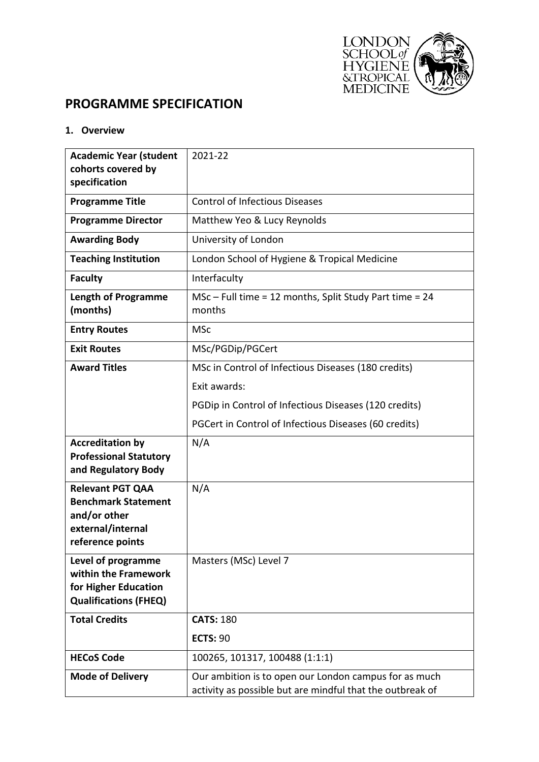

# **PROGRAMME SPECIFICATION**

**1. Overview**

| <b>Academic Year (student</b>                         | 2021-22                                                           |
|-------------------------------------------------------|-------------------------------------------------------------------|
| cohorts covered by                                    |                                                                   |
| specification                                         |                                                                   |
| <b>Programme Title</b>                                | <b>Control of Infectious Diseases</b>                             |
| <b>Programme Director</b>                             | Matthew Yeo & Lucy Reynolds                                       |
| <b>Awarding Body</b>                                  | University of London                                              |
| <b>Teaching Institution</b>                           | London School of Hygiene & Tropical Medicine                      |
| <b>Faculty</b>                                        | Interfaculty                                                      |
| <b>Length of Programme</b><br>(months)                | MSc - Full time = 12 months, Split Study Part time = 24<br>months |
| <b>Entry Routes</b>                                   | <b>MSc</b>                                                        |
| <b>Exit Routes</b>                                    | MSc/PGDip/PGCert                                                  |
| <b>Award Titles</b>                                   | MSc in Control of Infectious Diseases (180 credits)               |
|                                                       | Exit awards:                                                      |
|                                                       | PGDip in Control of Infectious Diseases (120 credits)             |
|                                                       | PGCert in Control of Infectious Diseases (60 credits)             |
| <b>Accreditation by</b>                               | N/A                                                               |
| <b>Professional Statutory</b>                         |                                                                   |
| and Regulatory Body                                   |                                                                   |
| <b>Relevant PGT QAA</b><br><b>Benchmark Statement</b> | N/A                                                               |
| and/or other                                          |                                                                   |
| external/internal                                     |                                                                   |
| reference points                                      |                                                                   |
| Level of programme                                    | Masters (MSc) Level 7                                             |
| within the Framework<br>for Higher Education          |                                                                   |
| <b>Qualifications (FHEQ)</b>                          |                                                                   |
| <b>Total Credits</b>                                  | <b>CATS: 180</b>                                                  |
|                                                       | <b>ECTS: 90</b>                                                   |
| <b>HECoS Code</b>                                     | 100265, 101317, 100488 (1:1:1)                                    |
| <b>Mode of Delivery</b>                               | Our ambition is to open our London campus for as much             |
|                                                       | activity as possible but are mindful that the outbreak of         |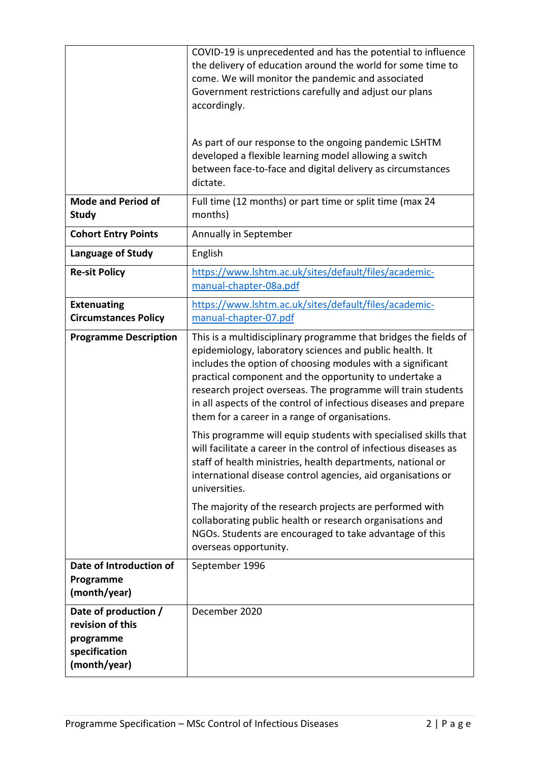|                                                                                        | COVID-19 is unprecedented and has the potential to influence<br>the delivery of education around the world for some time to<br>come. We will monitor the pandemic and associated<br>Government restrictions carefully and adjust our plans<br>accordingly.<br>As part of our response to the ongoing pandemic LSHTM<br>developed a flexible learning model allowing a switch<br>between face-to-face and digital delivery as circumstances<br>dictate. |
|----------------------------------------------------------------------------------------|--------------------------------------------------------------------------------------------------------------------------------------------------------------------------------------------------------------------------------------------------------------------------------------------------------------------------------------------------------------------------------------------------------------------------------------------------------|
| <b>Mode and Period of</b><br><b>Study</b>                                              | Full time (12 months) or part time or split time (max 24<br>months)                                                                                                                                                                                                                                                                                                                                                                                    |
| <b>Cohort Entry Points</b>                                                             | Annually in September                                                                                                                                                                                                                                                                                                                                                                                                                                  |
| Language of Study                                                                      | English                                                                                                                                                                                                                                                                                                                                                                                                                                                |
| <b>Re-sit Policy</b>                                                                   | https://www.lshtm.ac.uk/sites/default/files/academic-<br>manual-chapter-08a.pdf                                                                                                                                                                                                                                                                                                                                                                        |
| <b>Extenuating</b><br><b>Circumstances Policy</b>                                      | https://www.lshtm.ac.uk/sites/default/files/academic-<br>manual-chapter-07.pdf                                                                                                                                                                                                                                                                                                                                                                         |
| <b>Programme Description</b>                                                           | This is a multidisciplinary programme that bridges the fields of<br>epidemiology, laboratory sciences and public health. It<br>includes the option of choosing modules with a significant<br>practical component and the opportunity to undertake a<br>research project overseas. The programme will train students<br>in all aspects of the control of infectious diseases and prepare<br>them for a career in a range of organisations.              |
|                                                                                        | This programme will equip students with specialised skills that<br>will facilitate a career in the control of infectious diseases as<br>staff of health ministries, health departments, national or<br>international disease control agencies, aid organisations or<br>universities.                                                                                                                                                                   |
|                                                                                        | The majority of the research projects are performed with<br>collaborating public health or research organisations and<br>NGOs. Students are encouraged to take advantage of this<br>overseas opportunity.                                                                                                                                                                                                                                              |
| Date of Introduction of<br>Programme<br>(month/year)                                   | September 1996                                                                                                                                                                                                                                                                                                                                                                                                                                         |
| Date of production /<br>revision of this<br>programme<br>specification<br>(month/year) | December 2020                                                                                                                                                                                                                                                                                                                                                                                                                                          |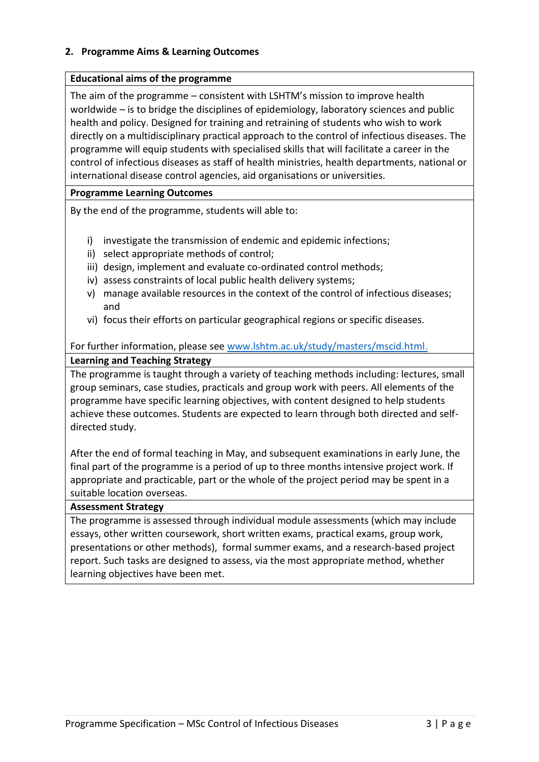## **2. Programme Aims & Learning Outcomes**

## **Educational aims of the programme**

The aim of the programme – consistent with LSHTM's mission to improve health worldwide – is to bridge the disciplines of epidemiology, laboratory sciences and public health and policy. Designed for training and retraining of students who wish to work directly on a multidisciplinary practical approach to the control of infectious diseases. The programme will equip students with specialised skills that will facilitate a career in the control of infectious diseases as staff of health ministries, health departments, national or international disease control agencies, aid organisations or universities.

## **Programme Learning Outcomes**

By the end of the programme, students will able to:

- i) investigate the transmission of endemic and epidemic infections;
- ii) select appropriate methods of control;
- iii) design, implement and evaluate co-ordinated control methods;
- iv) assess constraints of local public health delivery systems;
- v) manage available resources in the context of the control of infectious diseases; and
- vi) focus their efforts on particular geographical regions or specific diseases.

## For further information, please see [www.lshtm.ac.uk/study/masters/mscid.html.](http://www.lshtm.ac.uk/study/masters/mscid.html) **Learning and Teaching Strategy**

The programme is taught through a variety of teaching methods including: lectures, small group seminars, case studies, practicals and group work with peers. All elements of the programme have specific learning objectives, with content designed to help students achieve these outcomes. Students are expected to learn through both directed and selfdirected study.

After the end of formal teaching in May, and subsequent examinations in early June, the final part of the programme is a period of up to three months intensive project work. If appropriate and practicable, part or the whole of the project period may be spent in a suitable location overseas.

#### **Assessment Strategy**

The programme is assessed through individual module assessments (which may include essays, other written coursework, short written exams, practical exams, group work, presentations or other methods), formal summer exams, and a research-based project report. Such tasks are designed to assess, via the most appropriate method, whether learning objectives have been met.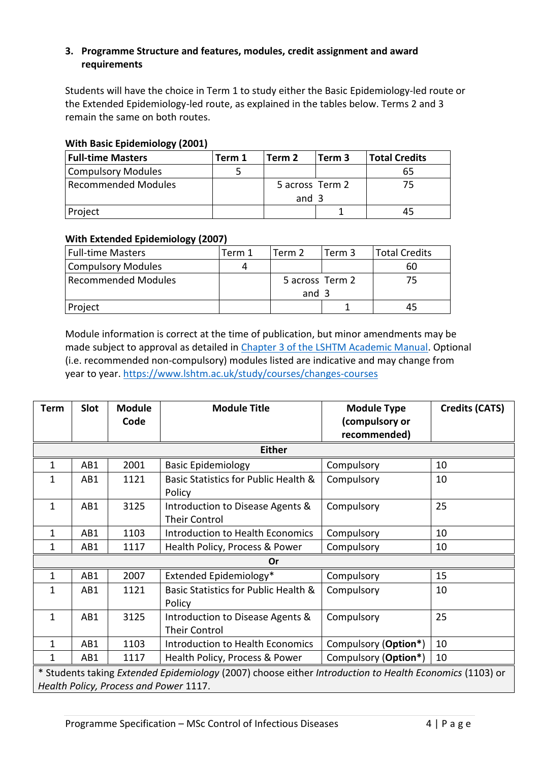## **3. Programme Structure and features, modules, credit assignment and award requirements**

Students will have the choice in Term 1 to study either the Basic Epidemiology-led route or the Extended Epidemiology-led route, as explained in the tables below. Terms 2 and 3 remain the same on both routes.

## **With Basic Epidemiology (2001)**

| <b>Full-time Masters</b> | Term 1 | Term 2          | Term 3 | <b>Total Credits</b> |
|--------------------------|--------|-----------------|--------|----------------------|
| Compulsory Modules       |        |                 |        | 65                   |
| Recommended Modules      |        | 5 across Term 2 |        | 75                   |
|                          |        | and 3           |        |                      |
| Project                  |        |                 |        | 45                   |

## **With Extended Epidemiology (2007)**

| <b>Full-time Masters</b> | Term 1 | Term 2          | Term 3 | <b>Total Credits</b> |
|--------------------------|--------|-----------------|--------|----------------------|
| Compulsory Modules       |        |                 |        | 60                   |
| Recommended Modules      |        | 5 across Term 2 |        |                      |
|                          |        | and 3           |        |                      |
| Project                  |        |                 |        |                      |

Module information is correct at the time of publication, but minor amendments may be made subject to approval as detailed in [Chapter 3 of the LSHTM Academic Manual.](https://www.lshtm.ac.uk/sites/default/files/academic-manual-chapter-07.pdf) Optional (i.e. recommended non-compulsory) modules listed are indicative and may change from year to year.<https://www.lshtm.ac.uk/study/courses/changes-courses>

| <b>Term</b>                                                                                             | Slot          | <b>Module</b> | <b>Module Title</b>                  | <b>Module Type</b>   | <b>Credits (CATS)</b> |  |
|---------------------------------------------------------------------------------------------------------|---------------|---------------|--------------------------------------|----------------------|-----------------------|--|
|                                                                                                         |               | Code          |                                      | (compulsory or       |                       |  |
|                                                                                                         |               |               |                                      | recommended)         |                       |  |
|                                                                                                         | <b>Either</b> |               |                                      |                      |                       |  |
| $\mathbf{1}$                                                                                            | AB1           | 2001          | <b>Basic Epidemiology</b>            | Compulsory           | 10                    |  |
| 1                                                                                                       | AB1           | 1121          | Basic Statistics for Public Health & | Compulsory           | 10                    |  |
|                                                                                                         |               |               | Policy                               |                      |                       |  |
| $\mathbf{1}$                                                                                            | AB1           | 3125          | Introduction to Disease Agents &     | Compulsory           | 25                    |  |
|                                                                                                         |               |               | <b>Their Control</b>                 |                      |                       |  |
| 1                                                                                                       | AB1           | 1103          | Introduction to Health Economics     | Compulsory           | 10                    |  |
| 1                                                                                                       | AB1           | 1117          | Health Policy, Process & Power       | Compulsory           | 10                    |  |
| Or                                                                                                      |               |               |                                      |                      |                       |  |
| $\mathbf{1}$                                                                                            | AB1           | 2007          | Extended Epidemiology*               | Compulsory           | 15                    |  |
| 1                                                                                                       | AB1           | 1121          | Basic Statistics for Public Health & | Compulsory           | 10                    |  |
|                                                                                                         |               |               | Policy                               |                      |                       |  |
| $\mathbf{1}$                                                                                            | AB1           | 3125          | Introduction to Disease Agents &     | Compulsory           | 25                    |  |
|                                                                                                         |               |               | <b>Their Control</b>                 |                      |                       |  |
| $\mathbf{1}$                                                                                            | AB1           | 1103          | Introduction to Health Economics     | Compulsory (Option*) | 10                    |  |
| 1                                                                                                       | AB1           | 1117          | Health Policy, Process & Power       | Compulsory (Option*) | 10                    |  |
| * Students taking Extended Epidemiology (2007) choose either Introduction to Health Economics (1103) or |               |               |                                      |                      |                       |  |
| Health Policy, Process and Power 1117.                                                                  |               |               |                                      |                      |                       |  |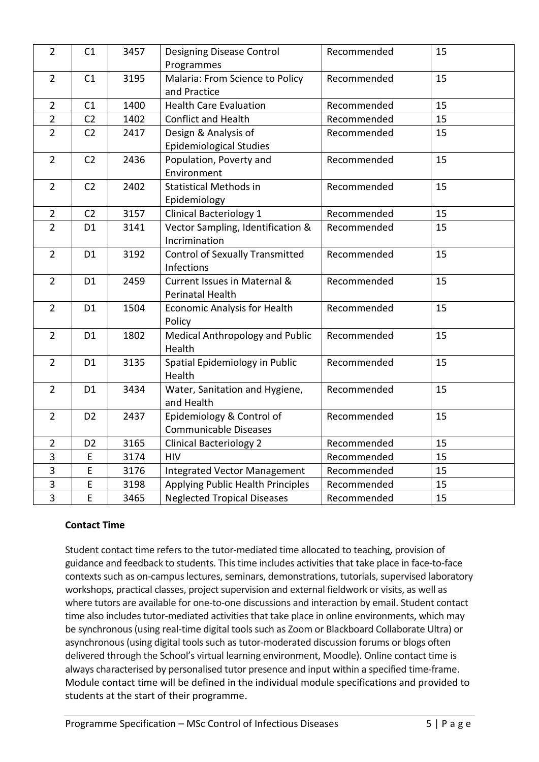| $\overline{2}$ | C1             | 3457 | <b>Designing Disease Control</b><br>Programmes            | Recommended | 15 |
|----------------|----------------|------|-----------------------------------------------------------|-------------|----|
| $\overline{2}$ | C1             | 3195 | Malaria: From Science to Policy<br>and Practice           | Recommended | 15 |
| $\overline{2}$ | C1             | 1400 | <b>Health Care Evaluation</b>                             | Recommended | 15 |
| $\overline{2}$ | C <sub>2</sub> | 1402 | <b>Conflict and Health</b>                                | Recommended | 15 |
| $\overline{2}$ | C <sub>2</sub> | 2417 | Design & Analysis of<br><b>Epidemiological Studies</b>    | Recommended | 15 |
| $\overline{2}$ | C <sub>2</sub> | 2436 | Population, Poverty and<br>Environment                    | Recommended | 15 |
| $\overline{2}$ | C <sub>2</sub> | 2402 | <b>Statistical Methods in</b><br>Epidemiology             | Recommended | 15 |
| $\overline{2}$ | C <sub>2</sub> | 3157 | Clinical Bacteriology 1                                   | Recommended | 15 |
| $\overline{2}$ | D <sub>1</sub> | 3141 | Vector Sampling, Identification &<br>Incrimination        | Recommended | 15 |
| $\overline{2}$ | D <sub>1</sub> | 3192 | <b>Control of Sexually Transmitted</b><br>Infections      | Recommended | 15 |
| $\overline{2}$ | D <sub>1</sub> | 2459 | Current Issues in Maternal &<br>Perinatal Health          | Recommended | 15 |
| $\overline{2}$ | D <sub>1</sub> | 1504 | <b>Economic Analysis for Health</b><br>Policy             | Recommended | 15 |
| $\overline{2}$ | D <sub>1</sub> | 1802 | Medical Anthropology and Public<br>Health                 | Recommended | 15 |
| $\overline{2}$ | D <sub>1</sub> | 3135 | Spatial Epidemiology in Public<br>Health                  | Recommended | 15 |
| $\overline{2}$ | D <sub>1</sub> | 3434 | Water, Sanitation and Hygiene,<br>and Health              | Recommended | 15 |
| $\overline{2}$ | D <sub>2</sub> | 2437 | Epidemiology & Control of<br><b>Communicable Diseases</b> | Recommended | 15 |
| $\overline{2}$ | D <sub>2</sub> | 3165 | <b>Clinical Bacteriology 2</b>                            | Recommended | 15 |
| $\overline{3}$ | E              | 3174 | <b>HIV</b>                                                | Recommended | 15 |
| 3              | E              | 3176 | <b>Integrated Vector Management</b>                       | Recommended | 15 |
| 3              | $\mathsf E$    | 3198 | Applying Public Health Principles                         | Recommended | 15 |
| 3              | E              | 3465 | <b>Neglected Tropical Diseases</b>                        | Recommended | 15 |

## **Contact Time**

Student contact time refers to the tutor-mediated time allocated to teaching, provision of guidance and feedback to students. This time includes activities that take place in face-to-face contexts such as on-campus lectures, seminars, demonstrations, tutorials, supervised laboratory workshops, practical classes, project supervision and external fieldwork or visits, as well as where tutors are available for one-to-one discussions and interaction by email. Student contact time also includes tutor-mediated activities that take place in online environments, which may be synchronous (using real-time digital tools such as Zoom or Blackboard Collaborate Ultra) or asynchronous (using digital tools such as tutor-moderated discussion forums or blogs often delivered through the School's virtual learning environment, Moodle). Online contact time is always characterised by personalised tutor presence and input within a specified time-frame. Module contact time will be defined in the individual module specifications and provided to students at the start of their programme.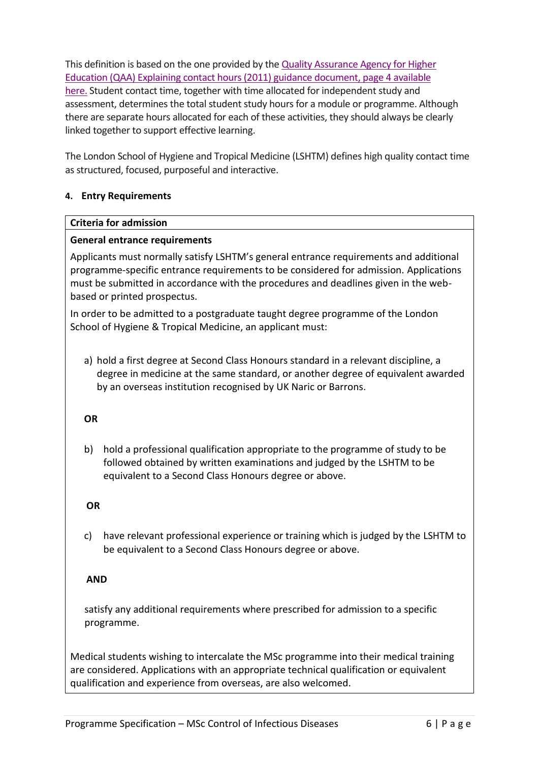This definition is based on the one provided by the Quality [Assurance](https://www.qaa.ac.uk/docs/qaa/quality-code/contact-hours-guidance.pdf) Agency for Higher Education (QAA) Explaining contact [hours\(2011\)](https://www.qaa.ac.uk/docs/qaa/quality-code/contact-hours-guidance.pdf) guidance document, page 4 available [here.](https://www.qaa.ac.uk/docs/qaa/quality-code/contact-hours-guidance.pdf) Student contact time, together with time allocated for independent study and assessment, determines the total student study hours for a module or programme. Although there are separate hours allocated for each of these activities, they should always be clearly linked together to support effective learning.

The London School of Hygiene and Tropical Medicine (LSHTM) defines high quality contact time as structured, focused, purposeful and interactive.

## **4. Entry Requirements**

## **Criteria for admission**

#### **General entrance requirements**

Applicants must normally satisfy LSHTM's general entrance requirements and additional programme-specific entrance requirements to be considered for admission. Applications must be submitted in accordance with the procedures and deadlines given in the webbased or printed prospectus.

In order to be admitted to a postgraduate taught degree programme of the London School of Hygiene & Tropical Medicine, an applicant must:

a) hold a first degree at Second Class Honours standard in a relevant discipline, a degree in medicine at the same standard, or another degree of equivalent awarded by an overseas institution recognised by UK Naric or Barrons.

#### **OR**

b) hold a professional qualification appropriate to the programme of study to be followed obtained by written examinations and judged by the LSHTM to be equivalent to a Second Class Honours degree or above.

#### **OR**

c) have relevant professional experience or training which is judged by the LSHTM to be equivalent to a Second Class Honours degree or above.

## **AND**

satisfy any additional requirements where prescribed for admission to a specific programme.

Medical students wishing to intercalate the MSc programme into their medical training are considered. Applications with an appropriate technical qualification or equivalent qualification and experience from overseas, are also welcomed.